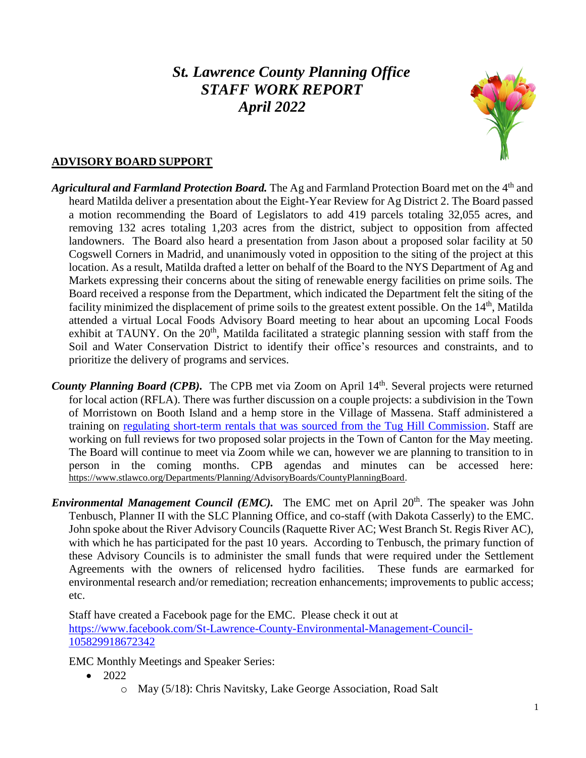# *St. Lawrence County Planning Office STAFF WORK REPORT April 2022*



## **ADVISORY BOARD SUPPORT**

- Agricultural and Farmland Protection Board. The Ag and Farmland Protection Board met on the 4<sup>th</sup> and heard Matilda deliver a presentation about the Eight-Year Review for Ag District 2. The Board passed a motion recommending the Board of Legislators to add 419 parcels totaling 32,055 acres, and removing 132 acres totaling 1,203 acres from the district, subject to opposition from affected landowners. The Board also heard a presentation from Jason about a proposed solar facility at 50 Cogswell Corners in Madrid, and unanimously voted in opposition to the siting of the project at this location. As a result, Matilda drafted a letter on behalf of the Board to the NYS Department of Ag and Markets expressing their concerns about the siting of renewable energy facilities on prime soils. The Board received a response from the Department, which indicated the Department felt the siting of the facility minimized the displacement of prime soils to the greatest extent possible. On the 14<sup>th</sup>, Matilda attended a virtual Local Foods Advisory Board meeting to hear about an upcoming Local Foods exhibit at TAUNY. On the 20<sup>th</sup>, Matilda facilitated a strategic planning session with staff from the Soil and Water Conservation District to identify their office's resources and constraints, and to prioritize the delivery of programs and services.
- County Planning Board (CPB). The CPB met via Zoom on April 14<sup>th</sup>. Several projects were returned for local action (RFLA). There was further discussion on a couple projects: a subdivision in the Town of Morristown on Booth Island and a hemp store in the Village of Massena. Staff administered a training on [regulating short-term rentals that was sourced from the Tug Hill Commission.](https://www.youtube.com/watch?v=-OIjsBOnv9k) Staff are working on full reviews for two proposed solar projects in the Town of Canton for the May meeting. The Board will continue to meet via Zoom while we can, however we are planning to transition to in person in the coming months. CPB agendas and minutes can be accessed here: [https://www.stlawco.org/Departments/Planning/AdvisoryBoards/CountyPlanningBoard.](https://www.stlawco.org/Departments/Planning/AdvisoryBoards/CountyPlanningBoard)
- *Environmental Management Council (EMC)*. The EMC met on April 20<sup>th</sup>. The speaker was John Tenbusch, Planner II with the SLC Planning Office, and co-staff (with Dakota Casserly) to the EMC. John spoke about the River Advisory Councils (Raquette River AC; West Branch St. Regis River AC), with which he has participated for the past 10 years. According to Tenbusch, the primary function of these Advisory Councils is to administer the small funds that were required under the Settlement Agreements with the owners of relicensed hydro facilities. These funds are earmarked for environmental research and/or remediation; recreation enhancements; improvements to public access; etc.

Staff have created a Facebook page for the EMC. Please check it out at [https://www.facebook.com/St-Lawrence-County-Environmental-Management-Council-](https://www.facebook.com/St-Lawrence-County-Environmental-Management-Council-105829918672342)[105829918672342](https://www.facebook.com/St-Lawrence-County-Environmental-Management-Council-105829918672342)

EMC Monthly Meetings and Speaker Series:

- $\bullet$  2022
	- o May (5/18): Chris Navitsky, Lake George Association, Road Salt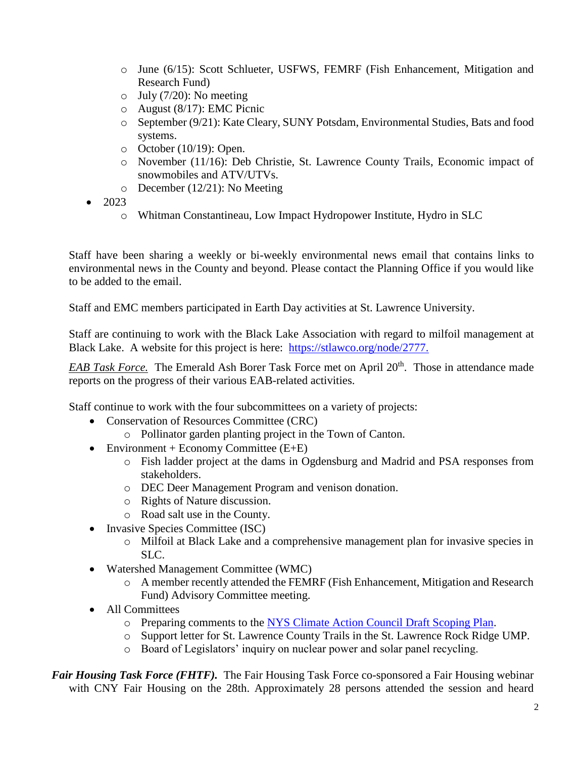- o June (6/15): Scott Schlueter, USFWS, FEMRF (Fish Enhancement, Mitigation and Research Fund)
- $\circ$  July (7/20): No meeting
- o August (8/17): EMC Picnic
- o September (9/21): Kate Cleary, SUNY Potsdam, Environmental Studies, Bats and food systems.
- $\circ$  October (10/19): Open.
- o November (11/16): Deb Christie, St. Lawrence County Trails, Economic impact of snowmobiles and ATV/UTVs.
- o December (12/21): No Meeting
- $\bullet$  2023
	- o Whitman Constantineau, Low Impact Hydropower Institute, Hydro in SLC

Staff have been sharing a weekly or bi-weekly environmental news email that contains links to environmental news in the County and beyond. Please contact the Planning Office if you would like to be added to the email.

Staff and EMC members participated in Earth Day activities at St. Lawrence University.

Staff are continuing to work with the Black Lake Association with regard to milfoil management at Black Lake. A website for this project is here: [https://stlawco.org/node/2777.](https://stlawco.org/node/2777)

*EAB Task Force.* The Emerald Ash Borer Task Force met on April 20<sup>th</sup>. Those in attendance made reports on the progress of their various EAB-related activities.

Staff continue to work with the four subcommittees on a variety of projects:

- Conservation of Resources Committee (CRC)
	- o Pollinator garden planting project in the Town of Canton.
- Environment + Economy Committee  $(E+E)$ 
	- o Fish ladder project at the dams in Ogdensburg and Madrid and PSA responses from stakeholders.
	- o DEC Deer Management Program and venison donation.
	- o Rights of Nature discussion.
	- o Road salt use in the County.
- Invasive Species Committee (ISC)
	- o Milfoil at Black Lake and a comprehensive management plan for invasive species in SLC.
- Watershed Management Committee (WMC)
	- o A member recently attended the FEMRF (Fish Enhancement, Mitigation and Research Fund) Advisory Committee meeting.
- All Committees
	- o Preparing comments to the [NYS Climate Action Council Draft Scoping Plan.](https://climate.ny.gov/Our-Climate-Act/Draft-Scoping-Plan)
	- o Support letter for St. Lawrence County Trails in the St. Lawrence Rock Ridge UMP.
	- o Board of Legislators' inquiry on nuclear power and solar panel recycling.

*Fair Housing Task Force (FHTF).* The Fair Housing Task Force co-sponsored a Fair Housing webinar with CNY Fair Housing on the 28th. Approximately 28 persons attended the session and heard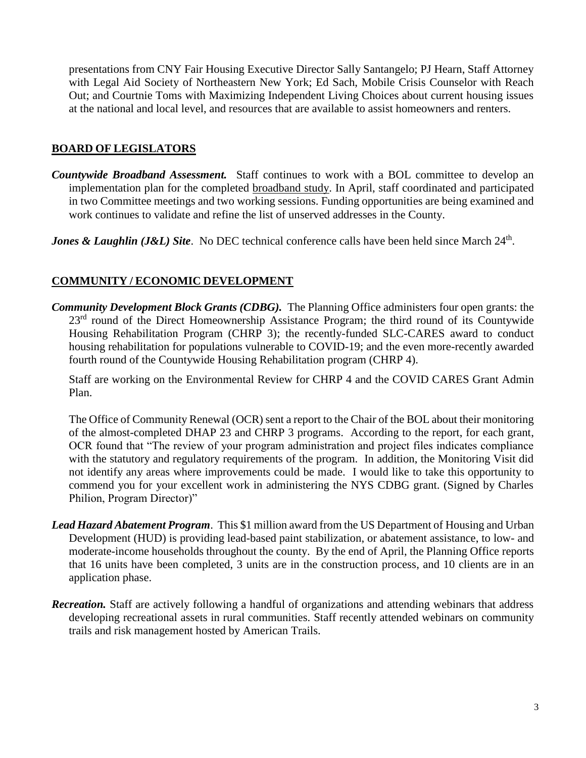presentations from CNY Fair Housing Executive Director Sally Santangelo; PJ Hearn, Staff Attorney with Legal Aid Society of Northeastern New York; Ed Sach, Mobile Crisis Counselor with Reach Out; and Courtnie Toms with Maximizing Independent Living Choices about current housing issues at the national and local level, and resources that are available to assist homeowners and renters.

### **BOARD OF LEGISLATORS**

- *Countywide Broadband Assessment.* Staff continues to work with a BOL committee to develop an implementation plan for the completed [broadband study.](https://stlawco.org/Broadband-Study) In April, staff coordinated and participated in two Committee meetings and two working sessions. Funding opportunities are being examined and work continues to validate and refine the list of unserved addresses in the County.
- **Jones & Laughlin (J&L) Site.** No DEC technical conference calls have been held since March 24<sup>th</sup>.

## **COMMUNITY / ECONOMIC DEVELOPMENT**

*Community Development Block Grants (CDBG).* The Planning Office administers four open grants: the 23<sup>rd</sup> round of the Direct Homeownership Assistance Program; the third round of its Countywide Housing Rehabilitation Program (CHRP 3); the recently-funded SLC-CARES award to conduct housing rehabilitation for populations vulnerable to COVID-19; and the even more-recently awarded fourth round of the Countywide Housing Rehabilitation program (CHRP 4).

Staff are working on the Environmental Review for CHRP 4 and the COVID CARES Grant Admin Plan.

The Office of Community Renewal (OCR) sent a report to the Chair of the BOL about their monitoring of the almost-completed DHAP 23 and CHRP 3 programs. According to the report, for each grant, OCR found that "The review of your program administration and project files indicates compliance with the statutory and regulatory requirements of the program. In addition, the Monitoring Visit did not identify any areas where improvements could be made. I would like to take this opportunity to commend you for your excellent work in administering the NYS CDBG grant. (Signed by Charles Philion, Program Director)"

- *Lead Hazard Abatement Program*. This \$1 million award from the US Department of Housing and Urban Development (HUD) is providing lead-based paint stabilization, or abatement assistance, to low- and moderate-income households throughout the county. By the end of April, the Planning Office reports that 16 units have been completed, 3 units are in the construction process, and 10 clients are in an application phase.
- *Recreation.* Staff are actively following a handful of organizations and attending webinars that address developing recreational assets in rural communities. Staff recently attended webinars on community trails and risk management hosted by American Trails.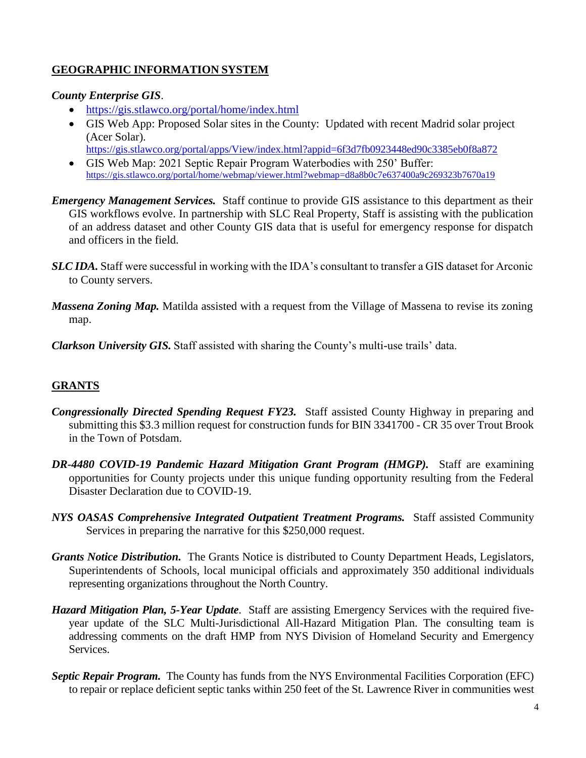# **GEOGRAPHIC INFORMATION SYSTEM**

#### *County Enterprise GIS*.

- <https://gis.stlawco.org/portal/home/index.html>
- GIS Web App: Proposed Solar sites in the County: Updated with recent Madrid solar project (Acer Solar).
	- <https://gis.stlawco.org/portal/apps/View/index.html?appid=6f3d7fb0923448ed90c3385eb0f8a872>
- GIS Web Map: 2021 Septic Repair Program Waterbodies with 250' Buffer: <https://gis.stlawco.org/portal/home/webmap/viewer.html?webmap=d8a8b0c7e637400a9c269323b7670a19>
- *Emergency Management Services.* Staff continue to provide GIS assistance to this department as their GIS workflows evolve. In partnership with SLC Real Property, Staff is assisting with the publication of an address dataset and other County GIS data that is useful for emergency response for dispatch and officers in the field.
- *SLC IDA.* Staff were successful in working with the IDA's consultant to transfer a GIS dataset for Arconic to County servers.
- *Massena Zoning Map.* Matilda assisted with a request from the Village of Massena to revise its zoning map.
- *Clarkson University GIS.* Staff assisted with sharing the County's multi-use trails' data.

# **GRANTS**

- *Congressionally Directed Spending Request FY23.* Staff assisted County Highway in preparing and submitting this \$3.3 million request for construction funds for BIN 3341700 - CR 35 over Trout Brook in the Town of Potsdam.
- *DR-4480 COVID-19 Pandemic Hazard Mitigation Grant Program (HMGP).* Staff are examining opportunities for County projects under this unique funding opportunity resulting from the Federal Disaster Declaration due to COVID-19.
- *NYS OASAS Comprehensive Integrated Outpatient Treatment Programs.* Staff assisted Community Services in preparing the narrative for this \$250,000 request.
- *Grants Notice Distribution.* The Grants Notice is distributed to County Department Heads, Legislators, Superintendents of Schools, local municipal officials and approximately 350 additional individuals representing organizations throughout the North Country.
- *Hazard Mitigation Plan, 5-Year Update*. Staff are assisting Emergency Services with the required fiveyear update of the SLC Multi-Jurisdictional All-Hazard Mitigation Plan. The consulting team is addressing comments on the draft HMP from NYS Division of Homeland Security and Emergency Services.
- *Septic Repair Program.* The County has funds from the NYS Environmental Facilities Corporation (EFC) to repair or replace deficient septic tanks within 250 feet of the St. Lawrence River in communities west